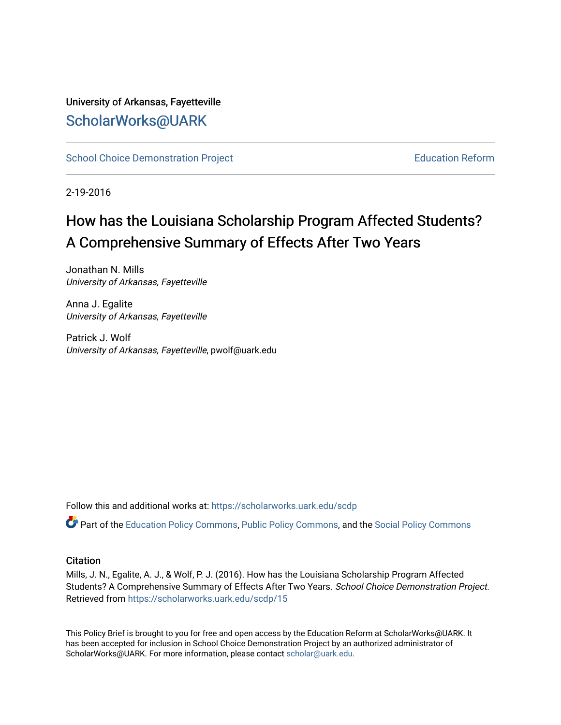#### University of Arkansas, Fayetteville [ScholarWorks@UARK](https://scholarworks.uark.edu/)

[School Choice Demonstration Project](https://scholarworks.uark.edu/scdp) **Education Reform** Education Reform

2-19-2016

### How has the Louisiana Scholarship Program Affected Students? A Comprehensive Summary of Effects After Two Years

Jonathan N. Mills University of Arkansas, Fayetteville

Anna J. Egalite University of Arkansas, Fayetteville

Patrick J. Wolf University of Arkansas, Fayetteville, pwolf@uark.edu

Follow this and additional works at: [https://scholarworks.uark.edu/scdp](https://scholarworks.uark.edu/scdp?utm_source=scholarworks.uark.edu%2Fscdp%2F15&utm_medium=PDF&utm_campaign=PDFCoverPages) 

Part of the [Education Policy Commons](http://network.bepress.com/hgg/discipline/1026?utm_source=scholarworks.uark.edu%2Fscdp%2F15&utm_medium=PDF&utm_campaign=PDFCoverPages), [Public Policy Commons](http://network.bepress.com/hgg/discipline/400?utm_source=scholarworks.uark.edu%2Fscdp%2F15&utm_medium=PDF&utm_campaign=PDFCoverPages), and the [Social Policy Commons](http://network.bepress.com/hgg/discipline/1030?utm_source=scholarworks.uark.edu%2Fscdp%2F15&utm_medium=PDF&utm_campaign=PDFCoverPages)

#### **Citation**

Mills, J. N., Egalite, A. J., & Wolf, P. J. (2016). How has the Louisiana Scholarship Program Affected Students? A Comprehensive Summary of Effects After Two Years. School Choice Demonstration Project. Retrieved from [https://scholarworks.uark.edu/scdp/15](https://scholarworks.uark.edu/scdp/15?utm_source=scholarworks.uark.edu%2Fscdp%2F15&utm_medium=PDF&utm_campaign=PDFCoverPages) 

This Policy Brief is brought to you for free and open access by the Education Reform at ScholarWorks@UARK. It has been accepted for inclusion in School Choice Demonstration Project by an authorized administrator of ScholarWorks@UARK. For more information, please contact [scholar@uark.edu](mailto:scholar@uark.edu).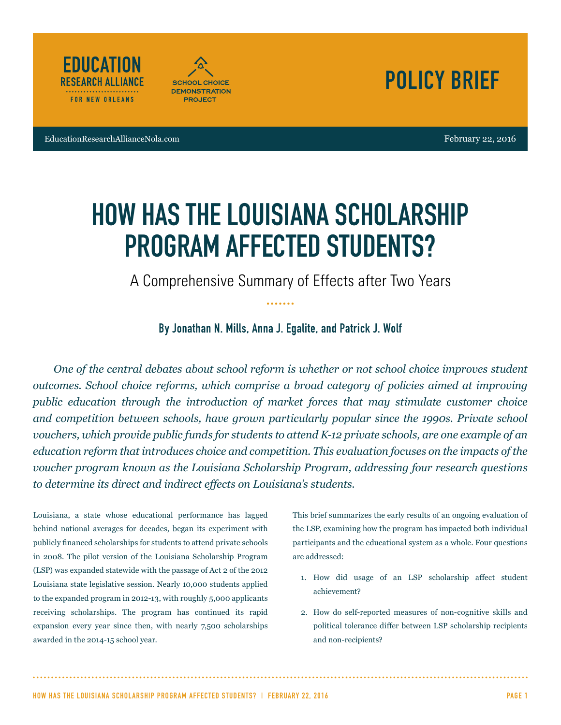





EducationResearchAllianceNola.com February 22, 2016

# HOW HAS THE LOUISIANA SCHOLARSHIP PROGRAM AFFECTED STUDENTS?

A Comprehensive Summary of Effects after Two Years

By Jonathan N. Mills, Anna J. Egalite, and Patrick J. Wolf

*One of the central debates about school reform is whether or not school choice improves student outcomes. School choice reforms, which comprise a broad category of policies aimed at improving public education through the introduction of market forces that may stimulate customer choice and competition between schools, have grown particularly popular since the 1990s. Private school vouchers, which provide public funds for students to attend K-12 private schools, are one example of an education reform that introduces choice and competition. This evaluation focuses on the impacts of the voucher program known as the Louisiana Scholarship Program, addressing four research questions to determine its direct and indirect effects on Louisiana's students.*

Louisiana, a state whose educational performance has lagged behind national averages for decades, began its experiment with publicly financed scholarships for students to attend private schools in 2008. The pilot version of the Louisiana Scholarship Program (LSP) was expanded statewide with the passage of Act 2 of the 2012 Louisiana state legislative session. Nearly 10,000 students applied to the expanded program in 2012-13, with roughly 5,000 applicants receiving scholarships. The program has continued its rapid expansion every year since then, with nearly 7,500 scholarships awarded in the 2014-15 school year.

This brief summarizes the early results of an ongoing evaluation of the LSP, examining how the program has impacted both individual participants and the educational system as a whole. Four questions are addressed:

- 1. How did usage of an LSP scholarship affect student achievement?
- 2. How do self-reported measures of non-cognitive skills and political tolerance differ between LSP scholarship recipients and non-recipients?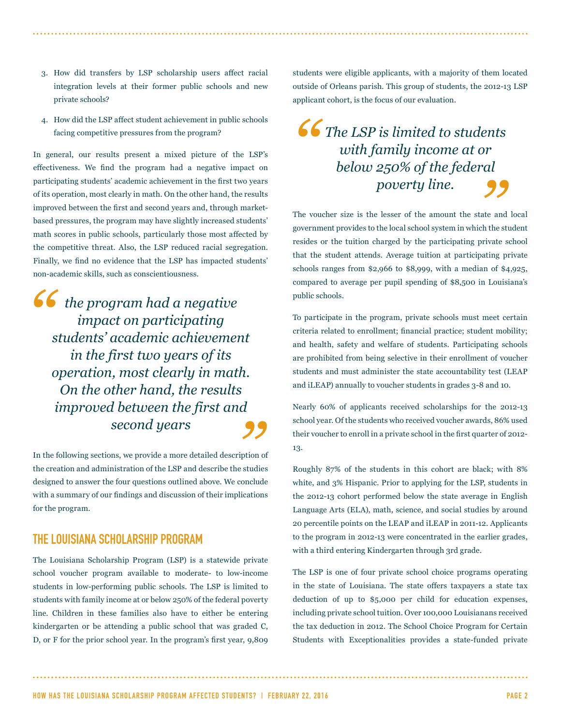- 3. How did transfers by LSP scholarship users affect racial integration levels at their former public schools and new private schools?
- 4. How did the LSP affect student achievement in public schools facing competitive pressures from the program?

In general, our results present a mixed picture of the LSP's effectiveness. We find the program had a negative impact on participating students' academic achievement in the first two years of its operation, most clearly in math. On the other hand, the results improved between the first and second years and, through marketbased pressures, the program may have slightly increased students' math scores in public schools, particularly those most affected by the competitive threat. Also, the LSP reduced racial segregation. Finally, we find no evidence that the LSP has impacted students' non-academic skills, such as conscientiousness.

*"* <sup>d</sup><br>99 *the program had a negative impact on participating students' academic achievement in the first two years of its operation, most clearly in math. On the other hand, the results improved between the first and second years*

In the following sections, we provide a more detailed description of the creation and administration of the LSP and describe the studies designed to answer the four questions outlined above. We conclude with a summary of our findings and discussion of their implications for the program.

#### THE LOUISIANA SCHOLARSHIP PROGRAM

The Louisiana Scholarship Program (LSP) is a statewide private school voucher program available to moderate- to low-income students in low-performing public schools. The LSP is limited to students with family income at or below 250% of the federal poverty line. Children in these families also have to either be entering kindergarten or be attending a public school that was graded C, D, or F for the prior school year. In the program's first year, 9,809 students were eligible applicants, with a majority of them located outside of Orleans parish. This group of students, the 2012-13 LSP applicant cohort, is the focus of our evaluation.

#### *" The LSP is limited to students with family income at or*  r<br>al<br>**99** *below 250% of the federal poverty line.*

The voucher size is the lesser of the amount the state and local government provides to the local school system in which the student resides or the tuition charged by the participating private school that the student attends. Average tuition at participating private schools ranges from \$2,966 to \$8,999, with a median of \$4,925, compared to average per pupil spending of \$8,500 in Louisiana's public schools.

To participate in the program, private schools must meet certain criteria related to enrollment; financial practice; student mobility; and health, safety and welfare of students. Participating schools are prohibited from being selective in their enrollment of voucher students and must administer the state accountability test (LEAP and iLEAP) annually to voucher students in grades 3-8 and 10.

Nearly 60% of applicants received scholarships for the 2012-13 school year. Of the students who received voucher awards, 86% used their voucher to enroll in a private school in the first quarter of 2012- 13.

Roughly 87% of the students in this cohort are black; with 8% white, and 3% Hispanic. Prior to applying for the LSP, students in the 2012-13 cohort performed below the state average in English Language Arts (ELA), math, science, and social studies by around 20 percentile points on the LEAP and iLEAP in 2011-12. Applicants to the program in 2012-13 were concentrated in the earlier grades, with a third entering Kindergarten through 3rd grade.

The LSP is one of four private school choice programs operating in the state of Louisiana. The state offers taxpayers a state tax deduction of up to \$5,000 per child for education expenses, including private school tuition. Over 100,000 Louisianans received the tax deduction in 2012. The School Choice Program for Certain Students with Exceptionalities provides a state-funded private

HOW HAS THE LOUISIANA SCHOLARSHIP PROGRAM AFFECTED STUDENTS? | FEBRUARY 22, 2016 PAGE 2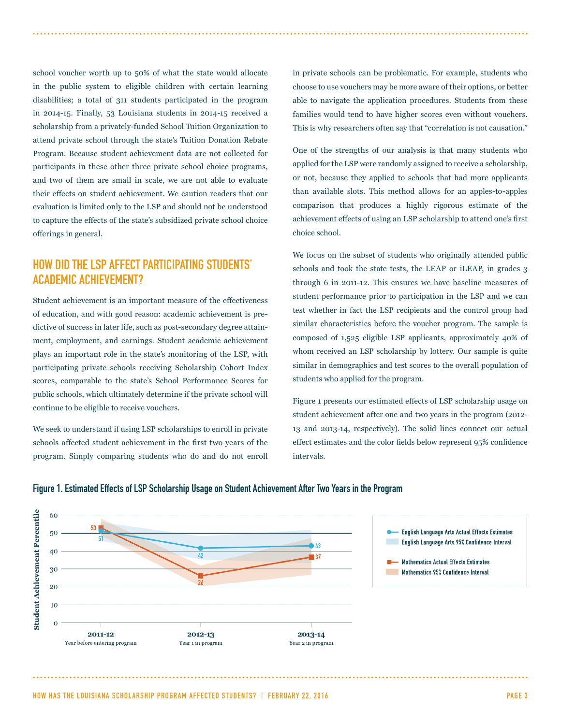school voucher worth up to 50% of what the state would allocate in the public system to eligible children with certain learning disabilities; a total of 311 students participated in the program in 2014-15. Finally, 53 Louisiana students in 2014-15 received a scholarship from a privately-funded School Tuition Organization to attend private school through the state's Tuition Donation Rebate Program. Because student achievement data are not collected for participants in these other three private school choice programs, and two of them are small in scale, we are not able to evaluate their effects on student achievement. We caution readers that our evaluation is limited only to the LSP and should not be understood to capture the effects of the state's subsidized private school choice offerings in general.

#### HOW DID THE LSP AFFECT PARTICIPATING STUDENTS' ACADEMIC ACHIEVEMENT?

Student achievement is an important measure of the effectiveness of education, and with good reason: academic achievement is predictive of success in later life, such as post-secondary degree attainment, employment, and earnings. Student academic achievement plays an important role in the state's monitoring of the LSP, with participating private schools receiving Scholarship Cohort Index scores, comparable to the state's School Performance Scores for public schools, which ultimately determine if the private school will continue to be eligible to receive vouchers.

We seek to understand if using LSP scholarships to enroll in private schools affected student achievement in the first two years of the program. Simply comparing students who do and do not enroll in private schools can be problematic. For example, students who choose to use vouchers may be more aware of their options, or better able to navigate the application procedures. Students from these families would tend to have higher scores even without vouchers. This is why researchers often say that "correlation is not causation."

One of the strengths of our analysis is that many students who applied for the LSP were randomly assigned to receive a scholarship, or not, because they applied to schools that had more applicants than available slots. This method allows for an apples-to-apples comparison that produces a highly rigorous estimate of the achievement effects of using an LSP scholarship to attend one's first choice school.

We focus on the subset of students who originally attended public schools and took the state tests, the LEAP or iLEAP, in grades 3 through 6 in 2011-12. This ensures we have baseline measures of student performance prior to participation in the LSP and we can test whether in fact the LSP recipients and the control group had similar characteristics before the voucher program. The sample is composed of 1,525 eligible LSP applicants, approximately 40% of whom received an LSP scholarship by lottery. Our sample is quite similar in demographics and test scores to the overall population of students who applied for the program.

Figure 1 presents our estimated effects of LSP scholarship usage on student achievement after one and two years in the program (2012- 13 and 2013-14, respectively). The solid lines connect our actual effect estimates and the color fields below represent 95% confidence intervals.



#### Figure 1. Estimated Effects of LSP Scholarship Usage on Student Achievement After Two Years in the Program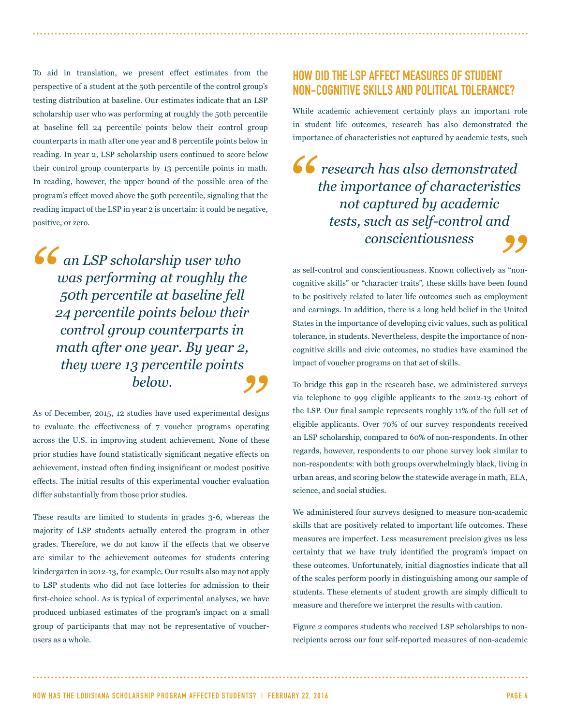To aid in translation, we present effect estimates from the perspective of a student at the 50th percentile of the control group's testing distribution at baseline. Our estimates indicate that an LSP scholarship user who was performing at roughly the 50th percentile at baseline fell 24 percentile points below their control group counterparts in math after one year and 8 percentile points below in reading. In year 2, LSP scholarship users continued to score below their control group counterparts by 13 percentile points in math. In reading, however, the upper bound of the possible area of the program's effect moved above the 50th percentile, signaling that the reading impact of the LSP in year 2 is uncertain: it could be negative, positive, or zero.

*"* ,<br>99 *an LSP scholarship user who was performing at roughly the 50th percentile at baseline fell 24 percentile points below their control group counterparts in math after one year. By year 2, they were 13 percentile points below.*

As of December, 2015, 12 studies have used experimental designs to evaluate the effectiveness of 7 voucher programs operating across the U.S. in improving student achievement. None of these prior studies have found statistically significant negative effects on achievement, instead often finding insignificant or modest positive effects. The initial results of this experimental voucher evaluation differ substantially from those prior studies.

These results are limited to students in grades 3-6, whereas the majority of LSP students actually entered the program in other grades. Therefore, we do not know if the effects that we observe are similar to the achievement outcomes for students entering kindergarten in 2012-13, for example. Our results also may not apply to LSP students who did not face lotteries for admission to their first-choice school. As is typical of experimental analyses, we have produced unbiased estimates of the program's impact on a small group of participants that may not be representative of voucherusers as a whole.

#### HOW DID THE LSP AFFECT MEASURES OF STUDENT NON-COGNITIVE SKILLS AND POLITICAL TOLERANCE?

While academic achievement certainly plays an important role in student life outcomes, research has also demonstrated the importance of characteristics not captured by academic tests, such

*"* d<br>**99** *research has also demonstrated the importance of characteristics not captured by academic tests, such as self-control and conscientiousness*

as self-control and conscientiousness. Known collectively as "noncognitive skills" or "character traits", these skills have been found to be positively related to later life outcomes such as employment and earnings. In addition, there is a long held belief in the United States in the importance of developing civic values, such as political tolerance, in students. Nevertheless, despite the importance of noncognitive skills and civic outcomes, no studies have examined the impact of voucher programs on that set of skills.

To bridge this gap in the research base, we administered surveys via telephone to 999 eligible applicants to the 2012-13 cohort of the LSP. Our final sample represents roughly 11% of the full set of eligible applicants. Over 70% of our survey respondents received an LSP scholarship, compared to 60% of non-respondents. In other regards, however, respondents to our phone survey look similar to non-respondents: with both groups overwhelmingly black, living in urban areas, and scoring below the statewide average in math, ELA, science, and social studies.

We administered four surveys designed to measure non-academic skills that are positively related to important life outcomes. These measures are imperfect. Less measurement precision gives us less certainty that we have truly identified the program's impact on these outcomes. Unfortunately, initial diagnostics indicate that all of the scales perform poorly in distinguishing among our sample of students. These elements of student growth are simply difficult to measure and therefore we interpret the results with caution.

Figure 2 compares students who received LSP scholarships to nonrecipients across our four self-reported measures of non-academic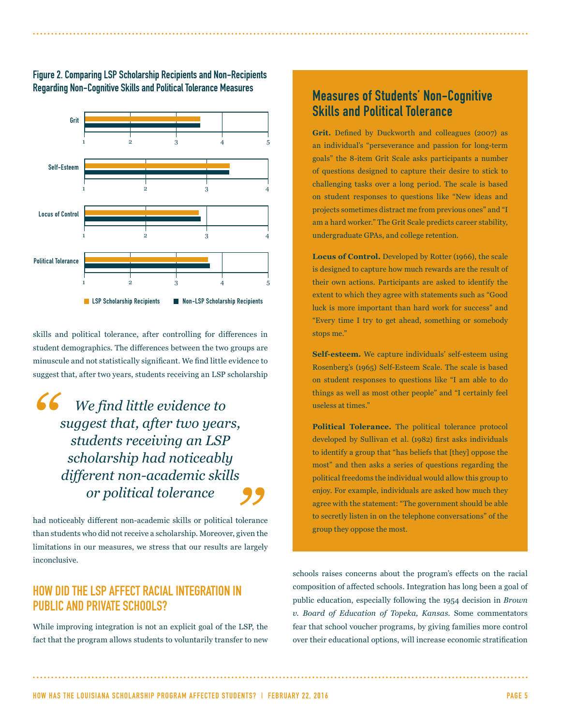



skills and political tolerance, after controlling for differences in student demographics. The differences between the two groups are minuscule and not statistically significant. We find little evidence to suggest that, after two years, students receiving an LSP scholarship

*" " We find little evidence to suggest that, after two years, students receiving an LSP scholarship had noticeably different non-academic skills or political tolerance* 

had noticeably different non-academic skills or political tolerance than students who did not receive a scholarship. Moreover, given the limitations in our measures, we stress that our results are largely inconclusive.

#### HOW DID THE LSP AFFECT RACIAL INTEGRATION IN PUBLIC AND PRIVATE SCHOOLS?

While improving integration is not an explicit goal of the LSP, the fact that the program allows students to voluntarily transfer to new

#### Measures of Students' Non-Cognitive Skills and Political Tolerance

**Grit.** Defined by Duckworth and colleagues (2007) as an individual's "perseverance and passion for long-term goals" the 8-item Grit Scale asks participants a number of questions designed to capture their desire to stick to challenging tasks over a long period. The scale is based on student responses to questions like "New ideas and projects sometimes distract me from previous ones" and "I am a hard worker." The Grit Scale predicts career stability, undergraduate GPAs, and college retention.

**Locus of Control.** Developed by Rotter (1966), the scale is designed to capture how much rewards are the result of their own actions. Participants are asked to identify the extent to which they agree with statements such as "Good luck is more important than hard work for success" and "Every time I try to get ahead, something or somebody stops me."

**Self-esteem.** We capture individuals' self-esteem using Rosenberg's (1965) Self-Esteem Scale. The scale is based on student responses to questions like "I am able to do things as well as most other people" and "I certainly feel useless at times."

**Political Tolerance.** The political tolerance protocol developed by Sullivan et al. (1982) first asks individuals to identify a group that "has beliefs that [they] oppose the most" and then asks a series of questions regarding the political freedoms the individual would allow this group to enjoy. For example, individuals are asked how much they agree with the statement: "The government should be able to secretly listen in on the telephone conversations" of the group they oppose the most.

schools raises concerns about the program's effects on the racial composition of affected schools. Integration has long been a goal of public education, especially following the 1954 decision in *Brown v. Board of Education of Topeka, Kansas*. Some commentators fear that school voucher programs, by giving families more control over their educational options, will increase economic stratification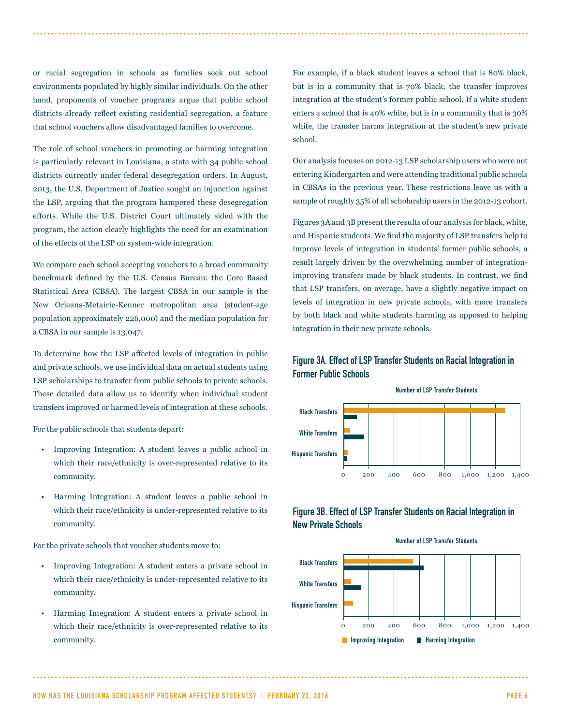or racial segregation in schools as families seek out school environments populated by highly similar individuals. On the other hand, proponents of voucher programs argue that public school districts already reflect existing residential segregation, a feature that school vouchers allow disadvantaged families to overcome.

The role of school vouchers in promoting or harming integration is particularly relevant in Louisiana, a state with 34 public school districts currently under federal desegregation orders. In August, 2013, the U.S. Department of Justice sought an injunction against the LSP, arguing that the program hampered these desegregation efforts. While the U.S. District Court ultimately sided with the program, the action clearly highlights the need for an examination of the effects of the LSP on system-wide integration.

We compare each school accepting vouchers to a broad community benchmark defined by the U.S. Census Bureau: the Core Based Statistical Area (CBSA). The largest CBSA in our sample is the New Orleans-Metairie-Kenner metropolitan area (student-age population approximately 226,000) and the median population for a CBSA in our sample is 13,047.

To determine how the LSP affected levels of integration in public and private schools, we use individual data on actual students using LSP scholarships to transfer from public schools to private schools. These detailed data allow us to identify when individual student transfers improved or harmed levels of integration at these schools.

For the public schools that students depart:

- Improving Integration: A student leaves a public school in which their race/ethnicity is over-represented relative to its community.
- Harming Integration: A student leaves a public school in which their race/ethnicity is under-represented relative to its community.

For the private schools that voucher students move to:

- Improving Integration: A student enters a private school in which their race/ethnicity is under-represented relative to its community.
- Harming Integration: A student enters a private school in which their race/ethnicity is over-represented relative to its community.

For example, if a black student leaves a school that is 80% black, but is in a community that is 70% black, the transfer improves integration at the student's former public school. If a white student enters a school that is 40% white, but is in a community that is 30% white, the transfer harms integration at the student's new private school.

Our analysis focuses on 2012-13 LSP scholarship users who were not entering Kindergarten and were attending traditional public schools in CBSAs in the previous year. These restrictions leave us with a sample of roughly 35% of all scholarship users in the 2012-13 cohort.

Figures 3A and 3B present the results of our analysis for black, white, and Hispanic students. We find the majority of LSP transfers help to improve levels of integration in students' former public schools, a result largely driven by the overwhelming number of integrationimproving transfers made by black students. In contrast, we find that LSP transfers, on average, have a slightly negative impact on levels of integration in new private schools, with more transfers by both black and white students harming as opposed to helping integration in their new private schools.

#### Figure 3A. Effect of LSP Transfer Students on Racial Integration in Former Public Schools



#### Figure 3B. Effect of LSP Transfer Students on Racial Integration in New Private Schools



HOW HAS THE LOUISIANA SCHOLARSHIP PROGRAM AFFECTED STUDENTS? | FEBRUARY 22, 2016 PAGE 6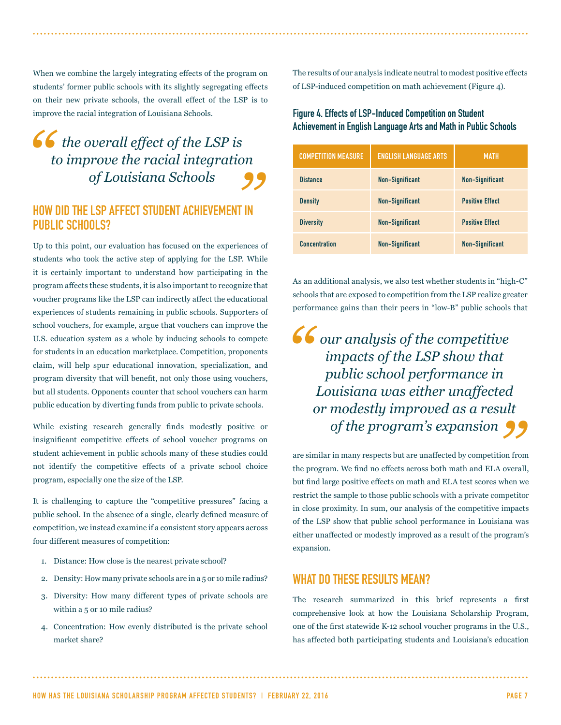When we combine the largely integrating effects of the program on students' former public schools with its slightly segregating effects on their new private schools, the overall effect of the LSP is to improve the racial integration of Louisiana Schools.

#### $f$  the overall effect of the LSP is <sub>on</sub><br>99 *to improve the racial integration of Louisiana Schools*

#### HOW DID THE LSP AFFECT STUDENT ACHIEVEMENT IN PUBLIC SCHOOLS?

Up to this point, our evaluation has focused on the experiences of students who took the active step of applying for the LSP. While it is certainly important to understand how participating in the program affects these students, it is also important to recognize that voucher programs like the LSP can indirectly affect the educational experiences of students remaining in public schools. Supporters of school vouchers, for example, argue that vouchers can improve the U.S. education system as a whole by inducing schools to compete for students in an education marketplace. Competition, proponents claim, will help spur educational innovation, specialization, and program diversity that will benefit, not only those using vouchers, but all students. Opponents counter that school vouchers can harm public education by diverting funds from public to private schools.

While existing research generally finds modestly positive or insignificant competitive effects of school voucher programs on student achievement in public schools many of these studies could not identify the competitive effects of a private school choice program, especially one the size of the LSP.

It is challenging to capture the "competitive pressures" facing a public school. In the absence of a single, clearly defined measure of competition, we instead examine if a consistent story appears across four different measures of competition:

- 1. Distance: How close is the nearest private school?
- 2. Density: How many private schools are in a 5 or 10 mile radius?
- 3. Diversity: How many different types of private schools are within a 5 or 10 mile radius?
- 4. Concentration: How evenly distributed is the private school market share?

The results of our analysis indicate neutral to modest positive effects of LSP-induced competition on math achievement (Figure 4).

#### Figure 4. Effects of LSP-Induced Competition on Student Achievement in English Language Arts and Math in Public Schools

| <b>COMPETITION MEASURE</b> | <b>ENGLISH LANGUAGE ARTS</b> | <b>MATH</b>            |
|----------------------------|------------------------------|------------------------|
| <b>Distance</b>            | <b>Non-Significant</b>       | <b>Non-Significant</b> |
| <b>Density</b>             | <b>Non-Significant</b>       | <b>Positive Effect</b> |
| <b>Diversity</b>           | <b>Non-Significant</b>       | <b>Positive Effect</b> |
| <b>Concentration</b>       | <b>Non-Significant</b>       | <b>Non-Significant</b> |

As an additional analysis, we also test whether students in "high-C" schools that are exposed to competition from the LSP realize greater performance gains than their peers in "low-B" public schools that

*"* <sup>d</sup><br>ult<br>**99** *our analysis of the competitive impacts of the LSP show that public school performance in Louisiana was either unaffected or modestly improved as a result of the program's expansion*

are similar in many respects but are unaffected by competition from the program. We find no effects across both math and ELA overall, but find large positive effects on math and ELA test scores when we restrict the sample to those public schools with a private competitor in close proximity. In sum, our analysis of the competitive impacts of the LSP show that public school performance in Louisiana was either unaffected or modestly improved as a result of the program's expansion.

#### WHAT DO THESE RESULTS MEAN?

The research summarized in this brief represents a first comprehensive look at how the Louisiana Scholarship Program, one of the first statewide K-12 school voucher programs in the U.S., has affected both participating students and Louisiana's education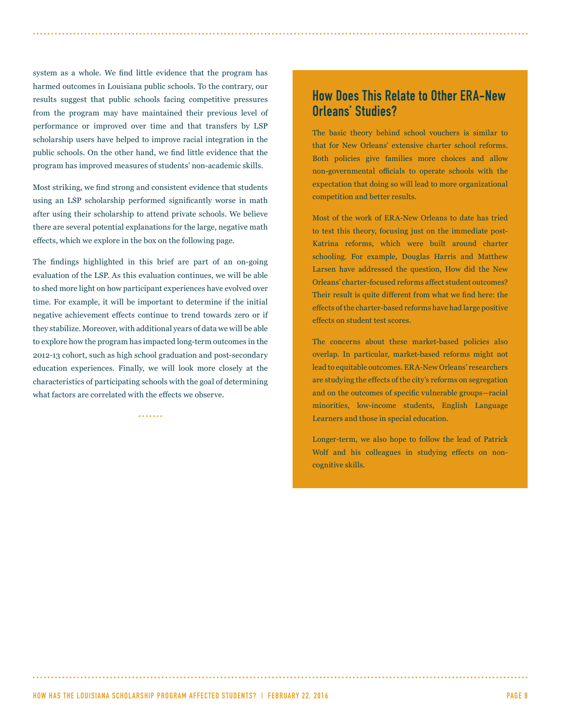system as a whole. We find little evidence that the program has harmed outcomes in Louisiana public schools. To the contrary, our results suggest that public schools facing competitive pressures from the program may have maintained their previous level of performance or improved over time and that transfers by LSP scholarship users have helped to improve racial integration in the public schools. On the other hand, we find little evidence that the program has improved measures of students' non-academic skills.

Most striking, we find strong and consistent evidence that students using an LSP scholarship performed significantly worse in math after using their scholarship to attend private schools. We believe there are several potential explanations for the large, negative math effects, which we explore in the box on the following page.

The findings highlighted in this brief are part of an on-going evaluation of the LSP. As this evaluation continues, we will be able to shed more light on how participant experiences have evolved over time. For example, it will be important to determine if the initial negative achievement effects continue to trend towards zero or if they stabilize. Moreover, with additional years of data we will be able to explore how the program has impacted long-term outcomes in the 2012-13 cohort, such as high school graduation and post-secondary education experiences. Finally, we will look more closely at the characteristics of participating schools with the goal of determining what factors are correlated with the effects we observe.

2222222

#### How Does This Relate to Other ERA-New Orleans' Studies?

The basic theory behind school vouchers is similar to that for New Orleans' extensive charter school reforms. Both policies give families more choices and allow non-governmental officials to operate schools with the expectation that doing so will lead to more organizational competition and better results.

Most of the work of ERA-New Orleans to date has tried to test this theory, focusing just on the immediate post-Katrina reforms, which were built around charter schooling. For example, Douglas Harris and Matthew Larsen have addressed the question, How did the New Orleans' charter-focused reforms affect student outcomes? Their result is quite different from what we find here: the effects of the charter-based reforms have had large positive effects on student test scores.

The concerns about these market-based policies also overlap. In particular, market-based reforms might not lead to equitable outcomes. ERA-New Orleans' researchers are studying the effects of the city's reforms on segregation and on the outcomes of specific vulnerable groups—racial minorities, low-income students, English Language Learners and those in special education.

Longer-term, we also hope to follow the lead of Patrick Wolf and his colleagues in studying effects on noncognitive skills.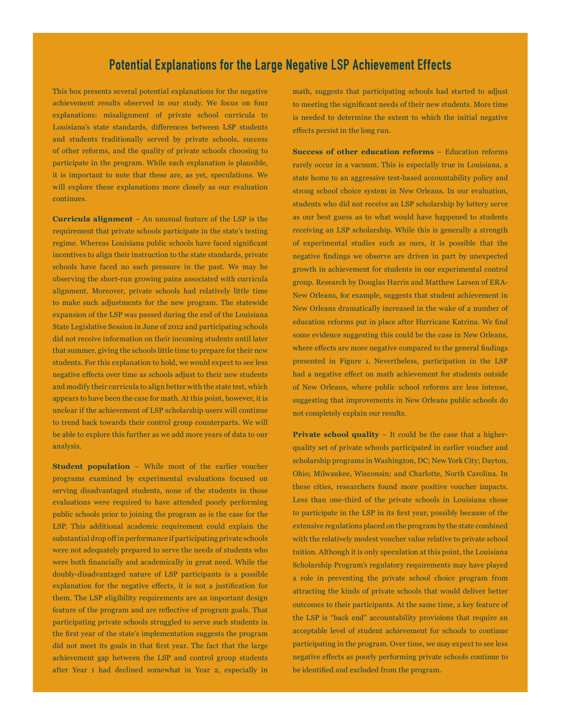#### Potential Explanations for the Large Negative LSP Achievement Effects

This box presents several potential explanations for the negative achievement results observed in our study. We focus on four explanations: misalignment of private school curricula to Louisiana's state standards, differences between LSP students and students traditionally served by private schools, success of other reforms, and the quality of private schools choosing to participate in the program. While each explanation is plausible, it is important to note that these are, as yet, speculations. We will explore these explanations more closely as our evaluation continues.

**Curricula alignment** – An unusual feature of the LSP is the requirement that private schools participate in the state's testing regime. Whereas Louisiana public schools have faced significant incentives to align their instruction to the state standards, private schools have faced no such pressure in the past. We may be observing the short-run growing pains associated with curricula alignment. Moreover, private schools had relatively little time to make such adjustments for the new program. The statewide expansion of the LSP was passed during the end of the Louisiana State Legislative Session in June of 2012 and participating schools did not receive information on their incoming students until later that summer, giving the schools little time to prepare for their new students. For this explanation to hold, we would expect to see less negative effects over time as schools adjust to their new students and modify their curricula to align better with the state test, which appears to have been the case for math. At this point, however, it is unclear if the achievement of LSP scholarship users will continue to trend back towards their control group counterparts. We will be able to explore this further as we add more years of data to our analysis.

**Student population** – While most of the earlier voucher programs examined by experimental evaluations focused on serving disadvantaged students, none of the students in those evaluations were required to have attended poorly performing public schools prior to joining the program as is the case for the LSP. This additional academic requirement could explain the substantial drop off in performance if participating private schools were not adequately prepared to serve the needs of students who were both financially and academically in great need. While the doubly-disadvantaged nature of LSP participants is a possible explanation for the negative effects, it is not a justification for them. The LSP eligibility requirements are an important design feature of the program and are reflective of program goals. That participating private schools struggled to serve such students in the first year of the state's implementation suggests the program did not meet its goals in that first year. The fact that the large achievement gap between the LSP and control group students after Year 1 had declined somewhat in Year 2, especially in math, suggests that participating schools had started to adjust to meeting the significant needs of their new students. More time is needed to determine the extent to which the initial negative effects persist in the long run.

**Success of other education reforms** – Education reforms rarely occur in a vacuum. This is especially true in Louisiana, a state home to an aggressive test-based accountability policy and strong school choice system in New Orleans. In our evaluation, students who did not receive an LSP scholarship by lottery serve as our best guess as to what would have happened to students receiving an LSP scholarship. While this is generally a strength of experimental studies such as ours, it is possible that the negative findings we observe are driven in part by unexpected growth in achievement for students in our experimental control group. Research by Douglas Harris and Matthew Larsen of ERA-New Orleans, for example, suggests that student achievement in New Orleans dramatically increased in the wake of a number of education reforms put in place after Hurricane Katrina. We find some evidence suggesting this could be the case in New Orleans, where effects are more negative compared to the general findings presented in Figure 1. Nevertheless, participation in the LSP had a negative effect on math achievement for students outside of New Orleans, where public school reforms are less intense, suggesting that improvements in New Orleans public schools do not completely explain our results.

**Private school quality** – It could be the case that a higherquality set of private schools participated in earlier voucher and scholarship programs in Washington, DC; New York City; Dayton, Ohio; Milwaukee, Wisconsin; and Charlotte, North Carolina. In these cities, researchers found more positive voucher impacts. Less than one-third of the private schools in Louisiana chose to participate in the LSP in its first year, possibly because of the extensive regulations placed on the program by the state combined with the relatively modest voucher value relative to private school tuition. Although it is only speculation at this point, the Louisiana Scholarship Program's regulatory requirements may have played a role in preventing the private school choice program from attracting the kinds of private schools that would deliver better outcomes to their participants. At the same time, a key feature of the LSP is "back end" accountability provisions that require an acceptable level of student achievement for schools to continue participating in the program. Over time, we may expect to see less negative effects as poorly performing private schools continue to be identified and excluded from the program.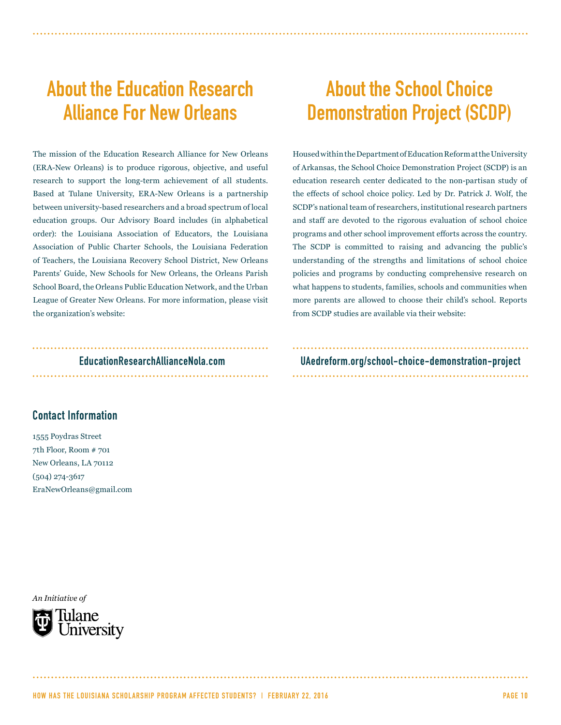## About the Education Research Alliance For New Orleans

The mission of the Education Research Alliance for New Orleans (ERA-New Orleans) is to produce rigorous, objective, and useful research to support the long-term achievement of all students. Based at Tulane University, ERA-New Orleans is a partnership between university-based researchers and a broad spectrum of local education groups. Our Advisory Board includes (in alphabetical order): the Louisiana Association of Educators, the Louisiana Association of Public Charter Schools, the Louisiana Federation of Teachers, the Louisiana Recovery School District, New Orleans Parents' Guide, New Schools for New Orleans, the Orleans Parish School Board, the Orleans Public Education Network, and the Urban League of Greater New Orleans. For more information, please visit the organization's website:

### 

#### Contact Information

1555 Poydras Street 7th Floor, Room # 701 New Orleans, LA 70112 (504) 274-3617 EraNewOrleans@gmail.com

*An Initiative of*



### About the School Choice Demonstration Project (SCDP)

Housed within the Department of Education Reform at the University of Arkansas, the School Choice Demonstration Project (SCDP) is an education research center dedicated to the non-partisan study of the effects of school choice policy. Led by Dr. Patrick J. Wolf, the SCDP's national team of researchers, institutional research partners and staff are devoted to the rigorous evaluation of school choice programs and other school improvement efforts across the country. The SCDP is committed to raising and advancing the public's understanding of the strengths and limitations of school choice policies and programs by conducting comprehensive research on what happens to students, families, schools and communities when more parents are allowed to choose their child's school. Reports from SCDP studies are available via their website:

EducationResearchAllianceNola.com UAedreform.org/school-choice-demonstration-project